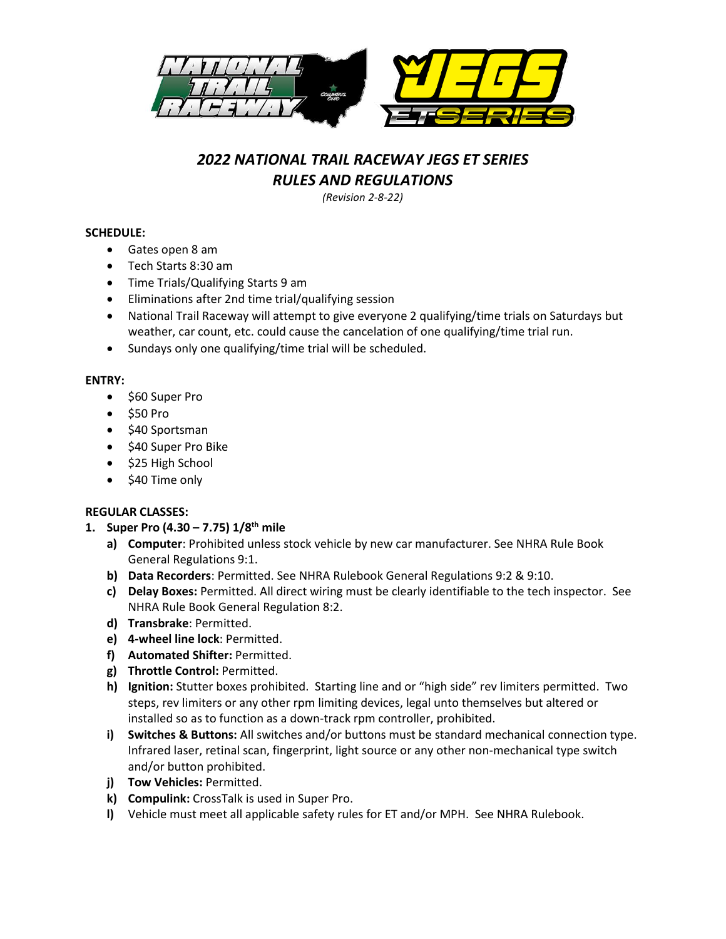

# *2022 NATIONAL TRAIL RACEWAY JEGS ET SERIES RULES AND REGULATIONS*

*(Revision 2-8-22)*

## **SCHEDULE:**

- Gates open 8 am
- Tech Starts 8:30 am
- Time Trials/Qualifying Starts 9 am
- Eliminations after 2nd time trial/qualifying session
- National Trail Raceway will attempt to give everyone 2 qualifying/time trials on Saturdays but weather, car count, etc. could cause the cancelation of one qualifying/time trial run.
- Sundays only one qualifying/time trial will be scheduled.

## **ENTRY:**

- \$60 Super Pro
- \$50 Pro
- \$40 Sportsman
- \$40 Super Pro Bike
- \$25 High School
- \$40 Time only

# **REGULAR CLASSES:**

- **1. Super Pro (4.30 – 7.75) 1/8th mile**
	- **a) Computer**: Prohibited unless stock vehicle by new car manufacturer. See NHRA Rule Book General Regulations 9:1.
	- **b) Data Recorders**: Permitted. See NHRA Rulebook General Regulations 9:2 & 9:10.
	- **c) Delay Boxes:** Permitted. All direct wiring must be clearly identifiable to the tech inspector. See NHRA Rule Book General Regulation 8:2.
	- **d) Transbrake**: Permitted.
	- **e) 4-wheel line lock**: Permitted.
	- **f) Automated Shifter:** Permitted.
	- **g) Throttle Control:** Permitted.
	- **h) Ignition:** Stutter boxes prohibited. Starting line and or "high side" rev limiters permitted. Two steps, rev limiters or any other rpm limiting devices, legal unto themselves but altered or installed so as to function as a down-track rpm controller, prohibited.
	- **i) Switches & Buttons:** All switches and/or buttons must be standard mechanical connection type. Infrared laser, retinal scan, fingerprint, light source or any other non-mechanical type switch and/or button prohibited.
	- **j) Tow Vehicles:** Permitted.
	- **k) Compulink:** CrossTalk is used in Super Pro.
	- **l)** Vehicle must meet all applicable safety rules for ET and/or MPH. See NHRA Rulebook.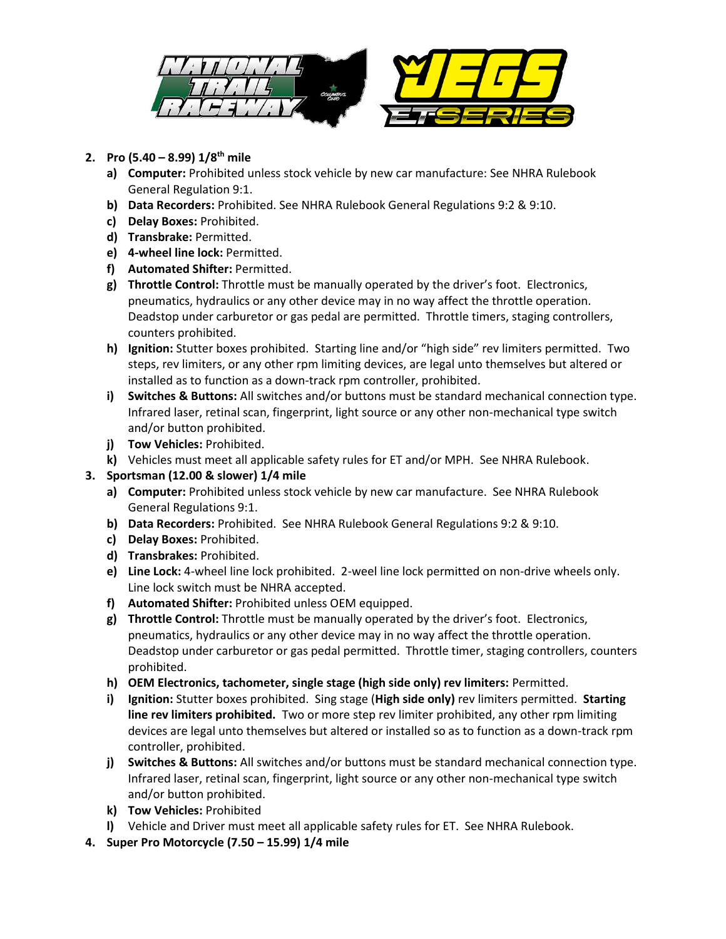

# **2. Pro (5.40 – 8.99) 1/8th mile**

- **a) Computer:** Prohibited unless stock vehicle by new car manufacture: See NHRA Rulebook General Regulation 9:1.
- **b) Data Recorders:** Prohibited. See NHRA Rulebook General Regulations 9:2 & 9:10.
- **c) Delay Boxes:** Prohibited.
- **d) Transbrake:** Permitted.
- **e) 4-wheel line lock:** Permitted.
- **f) Automated Shifter:** Permitted.
- **g) Throttle Control:** Throttle must be manually operated by the driver's foot. Electronics, pneumatics, hydraulics or any other device may in no way affect the throttle operation. Deadstop under carburetor or gas pedal are permitted. Throttle timers, staging controllers, counters prohibited.
- **h) Ignition:** Stutter boxes prohibited. Starting line and/or "high side" rev limiters permitted. Two steps, rev limiters, or any other rpm limiting devices, are legal unto themselves but altered or installed as to function as a down-track rpm controller, prohibited.
- **i) Switches & Buttons:** All switches and/or buttons must be standard mechanical connection type. Infrared laser, retinal scan, fingerprint, light source or any other non-mechanical type switch and/or button prohibited.
- **j) Tow Vehicles:** Prohibited.
- **k)** Vehicles must meet all applicable safety rules for ET and/or MPH. See NHRA Rulebook.
- **3. Sportsman (12.00 & slower) 1/4 mile**
	- **a) Computer:** Prohibited unless stock vehicle by new car manufacture. See NHRA Rulebook General Regulations 9:1.
	- **b) Data Recorders:** Prohibited. See NHRA Rulebook General Regulations 9:2 & 9:10.
	- **c) Delay Boxes:** Prohibited.
	- **d) Transbrakes:** Prohibited.
	- **e) Line Lock:** 4-wheel line lock prohibited. 2-weel line lock permitted on non-drive wheels only. Line lock switch must be NHRA accepted.
	- **f) Automated Shifter:** Prohibited unless OEM equipped.
	- **g) Throttle Control:** Throttle must be manually operated by the driver's foot. Electronics, pneumatics, hydraulics or any other device may in no way affect the throttle operation. Deadstop under carburetor or gas pedal permitted. Throttle timer, staging controllers, counters prohibited.
	- **h) OEM Electronics, tachometer, single stage (high side only) rev limiters:** Permitted.
	- **i) Ignition:** Stutter boxes prohibited. Sing stage (**High side only)** rev limiters permitted. **Starting line rev limiters prohibited.** Two or more step rev limiter prohibited, any other rpm limiting devices are legal unto themselves but altered or installed so as to function as a down-track rpm controller, prohibited.
	- **j) Switches & Buttons:** All switches and/or buttons must be standard mechanical connection type. Infrared laser, retinal scan, fingerprint, light source or any other non-mechanical type switch and/or button prohibited.
	- **k) Tow Vehicles:** Prohibited
	- **l)** Vehicle and Driver must meet all applicable safety rules for ET. See NHRA Rulebook.
- **4. Super Pro Motorcycle (7.50 – 15.99) 1/4 mile**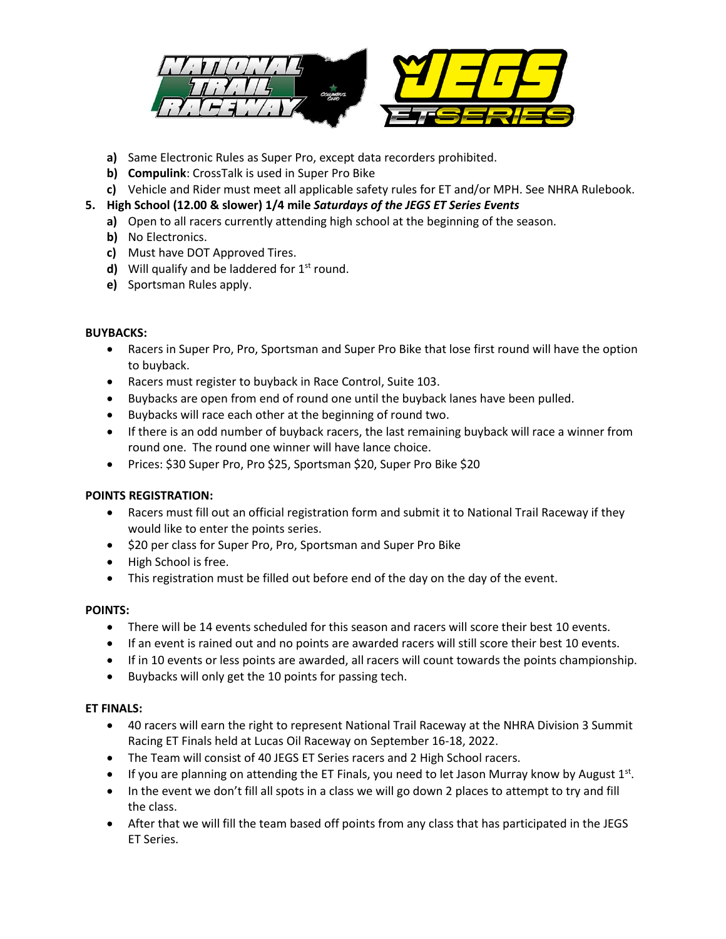

- **a)** Same Electronic Rules as Super Pro, except data recorders prohibited.
- **b) Compulink**: CrossTalk is used in Super Pro Bike
- **c)** Vehicle and Rider must meet all applicable safety rules for ET and/or MPH. See NHRA Rulebook.
- **5. High School (12.00 & slower) 1/4 mile** *Saturdays of the JEGS ET Series Events*
	- **a)** Open to all racers currently attending high school at the beginning of the season.
	- **b)** No Electronics.
	- **c)** Must have DOT Approved Tires.
	- **d)** Will qualify and be laddered for 1<sup>st</sup> round.
	- **e)** Sportsman Rules apply.

## **BUYBACKS:**

- Racers in Super Pro, Pro, Sportsman and Super Pro Bike that lose first round will have the option to buyback.
- Racers must register to buyback in Race Control, Suite 103.
- Buybacks are open from end of round one until the buyback lanes have been pulled.
- Buybacks will race each other at the beginning of round two.
- If there is an odd number of buyback racers, the last remaining buyback will race a winner from round one. The round one winner will have lance choice.
- Prices: \$30 Super Pro, Pro \$25, Sportsman \$20, Super Pro Bike \$20

# **POINTS REGISTRATION:**

- Racers must fill out an official registration form and submit it to National Trail Raceway if they would like to enter the points series.
- \$20 per class for Super Pro, Pro, Sportsman and Super Pro Bike
- High School is free.
- This registration must be filled out before end of the day on the day of the event.

#### **POINTS:**

- There will be 14 events scheduled for this season and racers will score their best 10 events.
- If an event is rained out and no points are awarded racers will still score their best 10 events.
- If in 10 events or less points are awarded, all racers will count towards the points championship.
- Buybacks will only get the 10 points for passing tech.

#### **ET FINALS:**

- 40 racers will earn the right to represent National Trail Raceway at the NHRA Division 3 Summit Racing ET Finals held at Lucas Oil Raceway on September 16-18, 2022.
- The Team will consist of 40 JEGS ET Series racers and 2 High School racers.
- $\bullet$  If you are planning on attending the ET Finals, you need to let Jason Murray know by August 1st.
- In the event we don't fill all spots in a class we will go down 2 places to attempt to try and fill the class.
- After that we will fill the team based off points from any class that has participated in the JEGS ET Series.